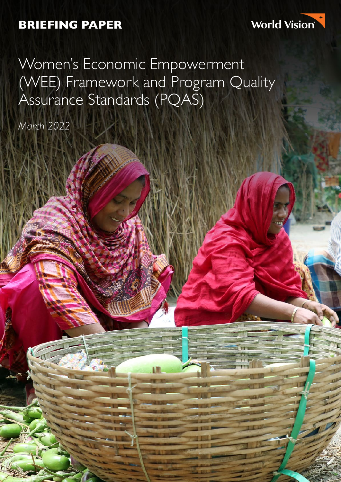### **BRIEFING PAPER**



Women's Economic Empowerment (WEE) Framework and Program Quality Assurance Standards (PQAS)

*March 2022*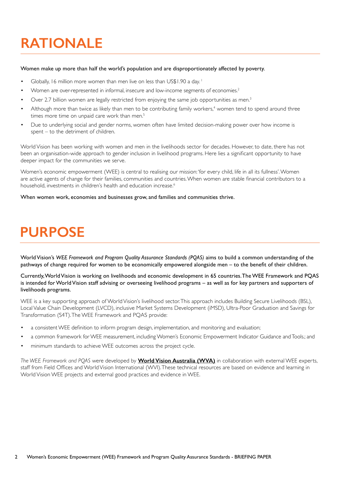## **RATIONALE**

### Women make up more than half the world's population and are disproportionately affected by poverty.

- Globally, 16 million more women than men live on less than US\$1.90 a day.<sup>1</sup>
- Women are over-represented in informal, insecure and low-income segments of economies.2
- Over 2.7 billion women are legally restricted from enjoying the same job opportunities as men.<sup>3</sup>
- Although more than twice as likely than men to be contributing family workers,<sup>4</sup> women tend to spend around three times more time on unpaid care work than men.<sup>5</sup>
- Due to underlying social and gender norms, women often have limited decision-making power over how income is spent – to the detriment of children.

World Vision has been working with women and men in the livelihoods sector for decades. However, to date, there has not been an organisation-wide approach to gender inclusion in livelihood programs. Here lies a significant opportunity to have deeper impact for the communities we serve.

Women's economic empowerment (WEE) is central to realising our mission: 'for every child, life in all its fullness'. Women are active agents of change for their families, communities and countries. When women are stable financial contributors to a household, investments in children's health and education increase.<sup>6</sup>

When women work, economies and businesses grow, and families and communities thrive.

### **PURPOSE**

World Vision's *WEE Framework and Program Quality Assurance Standards (PQAS)* aims to build a common understanding of the pathways of change required for women to be economically empowered alongside men – to the benefit of their children.

Currently, World Vision is working on livelihoods and economic development in 65 countries. The WEE Framework and PQAS is intended for World Vision staff advising or overseeing livelihood programs – as well as for key partners and supporters of livelihoods programs.

WEE is a key supporting approach of World Vision's livelihood sector. This approach includes Building Secure Livelihoods (BSL), Local Value Chain Development (LVCD), inclusive Market Systems Development (iMSD), Ultra-Poor Graduation and Savings for Transformation (S4T). The WEE Framework and PQAS provide:

- a consistent WEE definition to inform program design, implementation, and monitoring and evaluation;
- a common framework for WEE measurement, including Women's Economic Empowerment Indicator Guidance and Tools.; and
- minimum standards to achieve WEE outcomes across the project cycle.

*The WEE Framework and PQAS* were developed by **[World Vision Australia \(WVA\)](https://www.worldvision.com.au/get-involved/partner-with-us/seed)** in collaboration with external WEE experts, staff from Field Offices and World Vision International (WVI). These technical resources are based on evidence and learning in World Vision WEE projects and external good practices and evidence in WEE.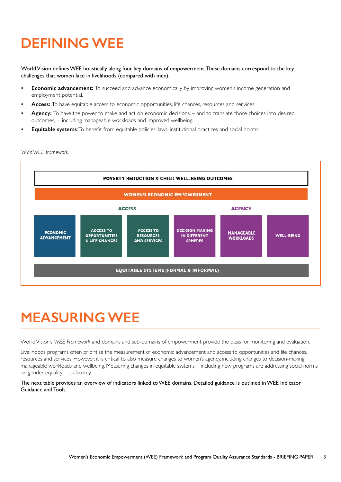### **DEFINING WEE**

World Vision defines WEE holistically along four key domains of empowerment. These domains correspond to the key challenges that women face in livelihoods (compared with men).

- **Economic advancement:** To succeed and advance economically by improving women's income generation and employment potential.
- **• Access:** To have equitable access to economic opportunities, life chances, resources and services.
- **• Agency:** To have the power to make and act on economic decisions, and to translate those choices into desired outcomes, – including manageable workloads and improved wellbeing.
- **• Equitable systems**: To benefit from equitable policies, laws, institutional practices and social norms.

#### *WV's WEE framework.*



### **MEASURING WEE**

World Vision's *WEE Framework* and domains and sub-domains of empowerment provide the basis for monitoring and evaluation.

Livelihoods programs often prioritise the measurement of economic advancement and access to opportunities and life chances, resources and services. However, it is critical to also measure changes to women's agency, including changes to decision-making, manageable workloads and wellbeing. Measuring changes in equitable systems – including how programs are addressing social norms on gender equality – is also key.

The next table provides an overview of indicators linked to WEE domains. Detailed guidance is outlined in WEE Indicator Guidance and Tools.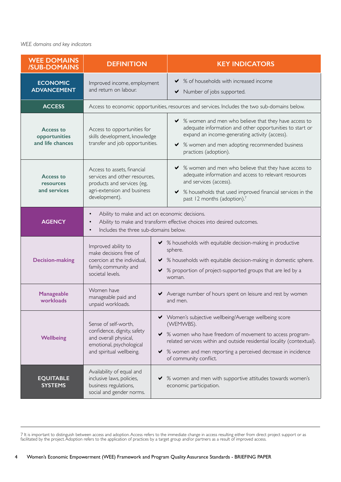#### *WEE domains and key indicators*

| <b>WEE DOMAINS</b><br><b>/SUB-DOMAINS</b>             | <b>DEFINITION</b>                                                                                                                                                                           | <b>KEY INDICATORS</b>                                                                                                                                                                                                                                                                                 |
|-------------------------------------------------------|---------------------------------------------------------------------------------------------------------------------------------------------------------------------------------------------|-------------------------------------------------------------------------------------------------------------------------------------------------------------------------------------------------------------------------------------------------------------------------------------------------------|
| <b>ECONOMIC</b><br><b>ADVANCEMENT</b>                 | Improved income, employment<br>and return on labour.                                                                                                                                        | % of households with increased income<br>✔<br>Number of jobs supported.<br>✔                                                                                                                                                                                                                          |
| <b>ACCESS</b>                                         | Access to economic opportunities, resources and services. Includes the two sub-domains below.                                                                                               |                                                                                                                                                                                                                                                                                                       |
| <b>Access to</b><br>opportunities<br>and life chances | Access to opportunities for<br>skills development, knowledge<br>transfer and job opportunities.                                                                                             | ◆ % women and men who believe that they have access to<br>adequate information and other opportunities to start or<br>expand an income-generating activity (access).<br>◆ % women and men adopting recommended business<br>practices (adoption).                                                      |
| <b>Access to</b><br>resources<br>and services         | Access to assets, financial<br>services and other resources.<br>products and services (eg,<br>agri-extension and business<br>development).                                                  | ◆ % women and men who believe that they have access to<br>adequate information and access to relevant resources<br>and services (access).<br>% households that used improved financial services in the<br>✔<br>past 12 months (adoption).7                                                            |
| <b>AGENCY</b>                                         | Ability to make and act on economic decisions.<br>$\bullet$<br>Ability to make and transform effective choices into desired outcomes.<br>Includes the three sub-domains below.<br>$\bullet$ |                                                                                                                                                                                                                                                                                                       |
| <b>Decision-making</b>                                | Improved ability to<br>make decisions free of<br>coercion at the individual,<br>family, community and<br>societal levels.                                                                   | % households with equitable decision-making in productive<br>✔<br>sphere.<br>% households with equitable decision-making in domestic sphere.<br>✔<br>% proportion of project-supported groups that are led by a<br>✔<br>woman.                                                                        |
| Manageable<br>workloads                               | Women have<br>manageable paid and<br>unpaid workloads.                                                                                                                                      | Average number of hours spent on leisure and rest by women<br>and men.                                                                                                                                                                                                                                |
| <b>Wellbeing</b>                                      | Sense of self-worth,<br>confidence, dignity, safety<br>and overall physical,<br>emotional, psychological<br>and spiritual wellbeing.                                                        | ◆ Women's subjective wellbeing/Average wellbeing score<br>(WEMWBS).<br>◆ % women who have freedom of movement to access program-<br>related services within and outside residential locality (contextual).<br>◆ % women and men reporting a perceived decrease in incidence<br>of community conflict. |
| <b>EQUITABLE</b><br><b>SYSTEMS</b>                    | Availability of equal and<br>inclusive laws, policies,<br>business regulations,<br>social and gender norms.                                                                                 | % women and men with supportive attitudes towards women's<br>economic participation.                                                                                                                                                                                                                  |

7 It is important to distinguish between access and adoption. Access refers to the immediate change in access resulting either from direct project support or as facilitated by the project. Adoption refers to the application of practices by a target group and/or partners as a result of improved access.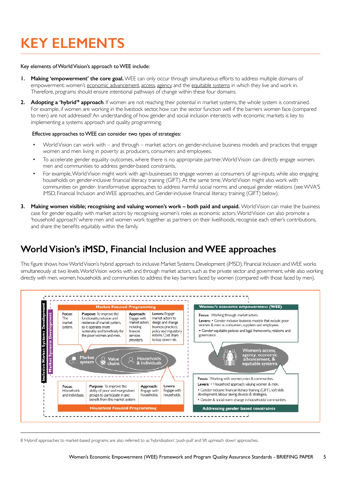# **KEY ELEMENTS**

#### Key elements of World Vision's approach to WEE include:

- **1. Making 'empowerment' the core goal.** WEE can only occur through simultaneous efforts to address multiple domains of empowerment: women's economic advancement, access, agency, and the equitable systems in which they live and work in. Therefore, programs should ensure intentional pathways of change within these four domains.
- **2.** Adopting a 'hybrid'<sup>8</sup> approach. If women are not reaching their potential in market systems, the whole system is constrained. For example, if women are working in the livestock sector, how can the sector function well if the barriers women face (compared to men) are not addressed? An understanding of how gender and social inclusion intersects with economic markets is key to implementing a systems approach and quality programming.

#### Effective approaches to WEE can consider two types of strategies:

- World Vision can work with and through market actors on gender-inclusive business models and practices that engage women and men living in poverty as producers, consumers and employees.
- To accelerate gender equality outcomes, where there is no appropriate partner, World Vision can directly engage women, men and communities to address gender-based constraints.
- For example, World Vision might work with agri-businesses to engage women as consumers of agri-inputs, while also engaging households on gender-inclusive financial literacy training (GIFT). At the same time, World Vision might also work with communities on gender- transformative approaches to address harmful social norms and unequal gender relations (see WVA'S iMSD, Financial Inclusion and WEE approaches, and Gender-inclusive financial literacy training (GIFT) below).
- **3. Making women visible; recognising and valuing women's work both paid and unpaid.** World Vision can make the business case for gender equality with market actors by recognising women's roles as economic actors. World Vision can also promote a 'household approach' where men and women work together as partners on their livelihoods, recognise each other's contributions, and share the benefits equitably within the family.

### **World Vision's iMSD, Financial Inclusion and WEE approaches**

This figure shows how World Vision's hybrid approach to inclusive Market Systems Development (iMSD), FInancial Inclusion and WEE works simultaneously at two levels. World Vision works with and through market actors, such as the private sector and government, while also working directly with men, women, households and communities to address the key barriers faced by women (compared with those faced by men).



8 'Hybrid' approaches to market-based programs are also referred to as 'hybridisation', 'push-pull' and 'lift up/reach down' approaches.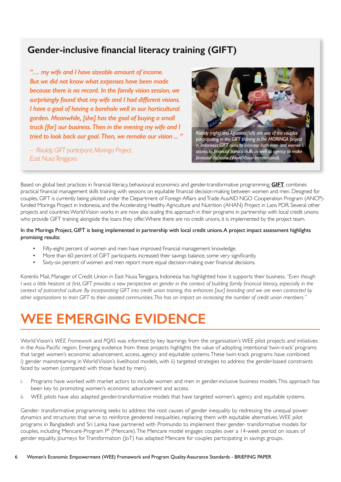### **Gender-inclusive financial literacy training (GIFT)**

*"… my wife and I have sizeable amount of income. But we did not know what expenses have been made because there is no record. In the family vision session, we surprisingly found that my wife and I had different visions. I have a goal of having a borehole well in our horticultural garden. Meanwhile, [she] has the goal of buying a small truck [for] our business. Then in the evening my wife and I tried to look back our goal. Then, we remake our vision ... "*

*– Risaldy, GIFT participant, Moringa Project, East Nusa Tenggara.*



*participating in the GIFT training in the MORINGA project in Indonesia. GIFT aims to increase both men and women's access to financial literacy skills as well as agency to make financial decisions (World Vision International).* 

Based on global best practices in financial literacy, behavioural economics and gender-transformative programming, **[GIFT](https://www.wvi.org/publications/manualtoolkit/gender-inclusive-financial-literacy-training-manual)** combines practical financial management skills training with sessions on equitable financial decision-making between women and men. Designed for couples, GIFT is currently being piloted under the Department of Foreign Affairs and Trade AusAID NGO Cooperation Program (ANCP) funded Moringa Project in Indonesia, and the Accelerating Healthy Agriculture and Nutrition (AHAN) Project in Laos PDR. Several other projects and countries World Vision works in are now also scaling this approach in their programs in partnership with local credit unions who provide GIFT training alongside the loans they offer, Where there are no credit unions, it is implemented by the project team.

### In the Moringa Project, GIFT is being implemented in partnership with local credit unions. A project impact assessment highlights promising results:

- Fifty-eight percent of women and men have improved financial management knowledge.
- More than 60 percent of GIFT participants increased their savings balance, some very significantly.
- Sixty-six percent of women and men report more equal decision-making over financial decisions.

Korenlis Mail, Manager of Credit Union in East Nusa Tenggara, Indonesia has highlighted how it supports their business. *"Even though I* was a little hesitant at first, GIFT provides a new perspective on gender in the context of building family financial literacy, especially in the *context of patriarchal culture. By incorporating GIFT into credit union training, this enhances [our] branding and we are even contracted by other organizations to train GIFT to their assisted communities. This has an impact on increasing the number of credit union members."*

## **WEE EMERGING EVIDENCE**

World Vision's *WEE Framework* and *PQAS* was informed by key learnings from the organisation's WEE pilot projects and initiatives in the Asia-Pacific region. Emerging evidence from these projects highlights the value of adopting intentional 'twin-track' programs that target women's economic advancement, access, agency and equitable systems. These twin-track programs have combined: i) gender mainstreaming in World Vision's livelihood models, with ii) targeted strategies to address the gender-based constraints faced by women (compared with those faced by men).

- i. Programs have worked with market actors to include women and men in gender-inclusive business models. This approach has been key to promoting women's economic advancement and access.
- ii. WEE pilots have also adapted gender-transformative models that have targeted women's agency and equitable systems.

Gender- transformative programming seeks to address the root causes of gender inequality by redressing the unequal power dynamics and structures that serve to reinforce gendered inequalities, replacing them with equitable alternatives. WEE pilot programs in Bangladesh and Sri Lanka have partnered with Promundo to implement their gender- transformative models for couples, including Mencare-Program P<sup>9</sup> (Mencare). The Mencare model engages couples over a 14-week period on issues of gender equality. Journeys for Transformation (JoT) has adapted Mencare for couples participating in savings groups.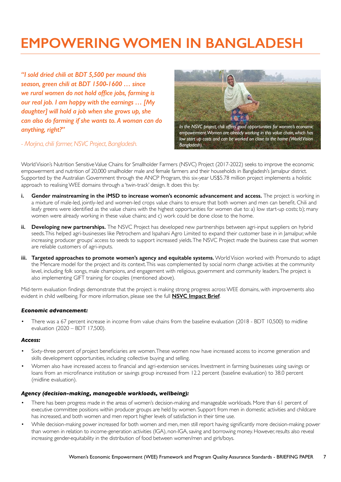# **EMPOWERING WOMEN IN BANGLADESH**

*"I sold dried chili at BDT 5,500 per maund this season, green chili at BDT 1500-1600 … since we rural women do not hold office jobs, farming is our real job. I am happy with the earnings … [My daughter] will hold a job when she grows up, she can also do farming if she wants to. A woman can do anything, right?"*



*In the NSVC project, chili offers good opportunities for women's economic empowerment. Women are already working in this value chain, which has low start up costs and can be worked on close to the home (World Vision Bangladesh).*

*- Morjina, chili farmer, NSVC Project, Bangladesh.*

World Vision's Nutrition Sensitive Value Chains for Smallholder Farmers (NSVC) Project (2017-2022) seeks to improve the economic empowerment and nutrition of 20,000 smallholder male and female farmers and their households in Bangladesh's Jamalpur district. Supported by the Australian Government through the ANCP Program, this six-year US\$5.78 million project implements a holistic approach to realising WEE domains through a 'twin-track' design. It does this by:

- **i. Gender mainstreaming in the iMSD to increase women's economic advancement and access.** The project is working in a mixture of male-led, jointly-led and women-led crops value chains to ensure that both women and men can benefit. Chili and leafy greens were identified as the value chains with the highest opportunities for women due to: a) low start-up costs; b); many women were already working in these value chains; and c) work could be done close to the home.
- **ii.** Developing new partnerships. The NSVC Project has developed new partnerships between agri-input suppliers on hybrid seeds. This helped agri-businesses like Petrochem and Ispahani Agro Limited to expand their customer base in in Jamalpur, while increasing producer groups' access to seeds to support increased yields. The NSVC Project made the business case that women are reliable customers of agri-inputs.
- **iii. Targeted approaches to promote women's agency and equitable systems.** World Vision worked with Promundo to adapt the Mencare model for the project and its context. This was complemented by social norm change activities at the community level, including folk songs, male champions, and engagement with religious, government and community leaders. The project is also implementing GIFT training for couples (mentioned above).

Mid-term evaluation findings demonstrate that the project is making strong progress across WEE domains, with improvements also evident in child wellbeing. For more information, please see the full **[NSVC Impact Brief](https://www.worldvision.com.au/docs/default-source/impact-briefs/bangladesh-nsvc-progress-brief_revised.pdf?sfvrsn=dfba3c_2)**.

### *Economic advancement:*

• There was a 67 percent increase in income from value chains from the baseline evaluation (2018 - BDT 10,500) to midline evaluation (2020 – BDT 17,500).

### *Access:*

- Sixty-three percent of project beneficiaries are women. These women now have increased access to income generation and skills development opportunities, including collective buying and selling.
- Women also have increased access to financial and agri-extension services. Investment in farming businesses using savings or loans from an microfinance institution or savings group increased from 12.2 percent (baseline evaluation) to 38.0 percent (midline evaluation).

### *Agency (decision-making, manageable workloads, wellbeing):*

- There has been progress made in the areas of women's decision-making and manageable workloads. More than 61 percent of executive committee positions within producer groups are held by women. Support from men in domestic activities and childcare has increased, and both women and men report higher levels of satisfaction in their time use.
- While decision-making power increased for both women and men, men still report having significantly more decision-making power than women in relation to income-generation activities (IGA), non-IGA, saving and borrowing money. However, results also reveal increasing gender-equitability in the distribution of food between women/men and girls/boys.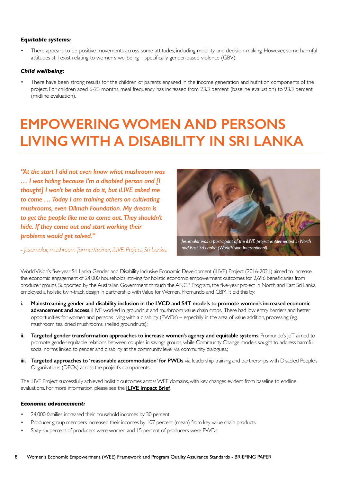### *Equitable systems:*

• There appears to be positive movements across some attitudes, including mobility and decision-making. However, some harmful attitudes still exist relating to women's wellbeing – specifically gender-based violence (GBV).

### *Child wellbeing:*

There have been strong results for the children of parents engaged in the income generation and nutrition components of the project. For children aged 6-23 months, meal frequency has increased from 23.3 percent (baseline evaluation) to 93.3 percent (midline evaluation).

## **EMPOWERING WOMEN AND PERSONS LIVING WITH A DISABILITY IN SRI LANKA**

*"At the start I did not even know what mushroom was … I was hiding because I'm a disabled person and [I thought] I won't be able to do it, but iLIVE asked me to come … Today I am training others on cultivating mushrooms, even Dilmah Foundation. My dream is to get the people like me to come out. They shouldn't hide. If they come out and start working their problems would get solved."*



*- Jesumalar, mushroom farmer/trainer, iLIVE Project, Sri Lanka.*

World Vision's five-year Sri Lanka Gender and Disability Inclusive Economic Development (iLIVE) Project (2016-2021) aimed to increase the economic engagement of 24,000 households, striving for holistic economic empowerment outcomes for 2,696 beneficiaries from producer groups. Supported by the Australian Government through the ANCP Program, the five-year project in North and East Sri Lanka, employed a holistic twin-track design in partnership with Value for Women, Promundo and CBM. It did this by:

- **i. Mainstreaming gender and disability inclusion in the LVCD and S4T models to promote women's increased economic advancement and access**. iLIVE worked in groundnut and mushroom value chain crops. These had low entry barriers and better opportunities for women and persons living with a disability (PWDs) – especially in the area of value addition, processing (eg, mushroom tea, dried mushrooms, shelled groundnuts).;
- **ii. Targeted gender transformation approaches to increase women's agency and equitable systems**. Promundo's JoT aimed to promote gender-equitable relations between couples in savings groups, while Community Change models sought to address harmful social norms linked to gender and disability at the community level via community dialogues.;
- **iii. Targeted approaches to 'reasonable accommodation' for PWDs** via leadership training and partnerships with Disabled People's Organisations (DPOs) across the project's components.

The iLIVE Project successfully achieved holistic outcomes across WEE domains, with key changes evident from baseline to endline evaluations. For more information, please see the **[iLIVE Impact Brief](https://selfservice.wvcentral.org/forms/wvcsslogin.fcc?TYPE=33554433&REALMOID=06-724193f1-f159-48f6-95f4-528f84174776&GUID=&SMAUTHREASON=0&METHOD=GET&SMAGENTNAME=wvcentralsp13www&TARGET=-SM-HTTPS%3a%2f%2fwww%2ewvcentral%2eorg%2fcommunity%2fRL%2fResources%2fiILIVE%20Impact%20Brief_Revised_Final%20Draft_11Nov21%2edocx%3fWeb%3d1)**.

### *Economic advancement:*

- 24,000 families increased their household incomes by 30 percent.
- Producer group members increased their incomes by 107 percent (mean) from key value chain products.
- Sixty-six percent of producers were women and 15 percent of producers were PWDs.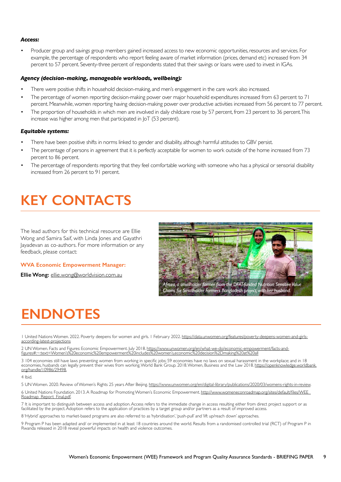#### *Access:*

• Producer group and savings group members gained increased access to new economic opportunities, resources and services. For example, the percentage of respondents who report feeling aware of market information (prices, demand etc) increased from 34 percent to 57 percent. Seventy-three percent of respondents stated that their savings or loans were used to invest in IGAs.

#### *Agency (decision-making, manageable workloads, wellbeing):*

- There were positive shifts in household decision-making, and men's engagement in the care work also increased.
- The percentage of women reporting decision-making power over major household expenditures increased from 63 percent to 71 percent. Meanwhile, women reporting having decision-making power over productive activities increased from 56 percent to 77 percent.
- The proportion of households in which men are involved in daily childcare rose by 57 percent, from 23 percent to 36 percent. This increase was higher among men that participated in JoT (53 percent).

#### *Equitable systems:*

- There have been positive shifts in norms linked to gender and disability, although harmful attitudes to GBV persist.
- The percentage of persons in agreement that it is perfectly acceptable for women to work outside of the home increased from 73 percent to 86 percent.
- The percentage of respondents reporting that they feel comfortable working with someone who has a physical or sensorial disability increased from 26 percent to 91 percent.

### **KEY CONTACTS**

The lead authors for this technical resource are Ellie Wong and Samira Saif, with Linda Jones and Gayathri Jayadevan as co-authors. For more information or any feedback, please contact:

#### **WVA Economic Empowerment Manager:**

**Ellie Wong:** [ellie.wong@worldvision.com.au](mailto:ellie.wong@worldvision.com.au)



### **ENDNOTES**

1 United Nations Women. 2022. Poverty deepens for women and girls. 1 February 2022. [https://data.unwomen.org/features/poverty-deepens-women-and-girls](https://data.unwomen.org/features/poverty-deepens-women-and-girls-according-latest-projections)[according-latest-projections](https://data.unwomen.org/features/poverty-deepens-women-and-girls-according-latest-projections)

2 UN Women. Facts and Figures: Economic Empowerment. July 2018. [https://www.unwomen.org/en/what-we-do/economic-empowerment/facts-and](https://www.unwomen.org/en/what-we-do/economic-empowerment/facts-and-figures#:~:text=Women’s%20economic%20empowerment%20includes%20women’s,economic%20decision%2Dmaking%20at%20all)[figures#:~:text=Women's%20economic%20empowerment%20includes%20women's,economic%20decision%2Dmaking%20at%20all](https://www.unwomen.org/en/what-we-do/economic-empowerment/facts-and-figures#:~:text=Women’s%20economic%20empowerment%20includes%20women’s,economic%20decision%2Dmaking%20at%20all)

3 104 economies still have laws preventing women from working in specific jobs; 59 economies have no laws on sexual harassment in the workplace; and in 18 economies, husbands can legally prevent their wives from working. World Bank Group. 2018. Women, Business and the Law 2018. <u>https://openknowledge.worldbank</u> [org/handle/10986/29498](https://openknowledge.worldbank.org/handle/10986/29498).

4 Ibid.

5 UN Women. 2020. Review of Women's Rights 25 years After Beijing. <https://www.unwomen.org/en/digital-library/publications/2020/03/womens-rights-in-review>.

6 United Nations Foundation. 2013. A Roadmap for Promoting Women's Economic Empowerment. [http://www.womeneconroadmap.org/sites/default/files/WEE\\_](http://www.womeneconroadmap.org/sites/default/files/WEE_Roadmap_Report_Final.pdf) [Roadmap\\_Report\\_Final.pdf](http://www.womeneconroadmap.org/sites/default/files/WEE_Roadmap_Report_Final.pdf).

7 It is important to distinguish between access and adoption. Access refers to the immediate change in access resulting either from direct project support or as facilitated by the project. Adoption refers to the application of practices by a target group and/or partners as a result of improved access.

8 'Hybrid' approaches to market-based programs are also referred to as 'hybridisation', 'push-pull' and 'lift up/reach down' approaches.

9 Program P has been adapted and/ or implemented in at least 18 countries around the world. Results from a randomised controlled trial (RCT) of Program P in Rwanda released in 2018 reveal powerful impacts on health and violence outcomes.